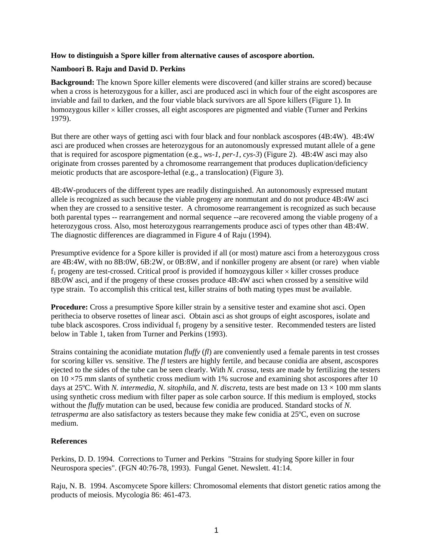## **How to distinguish a Spore killer from alternative causes of ascospore abortion.**

## **Namboori B. Raju and David D. Perkins**

**Background:** The known Spore killer elements were discovered (and killer strains are scored) because when a cross is heterozygous for a killer, asci are produced asci in which four of the eight ascospores are inviable and fail to darken, and the four viable black survivors are all Spore killers (Figure 1). In homozygous killer  $\times$  killer crosses, all eight ascospores are pigmented and viable (Turner and Perkins 1979).

But there are other ways of getting asci with four black and four nonblack ascospores (4B:4W). 4B:4W asci are produced when crosses are heterozygous for an autonomously expressed mutant allele of a gene that is required for ascospore pigmentation (e.g., *ws-1*, *per-1*, *cys-3*) (Figure 2). 4B:4W asci may also originate from crosses parented by a chromosome rearrangement that produces duplication/deficiency meiotic products that are ascospore-lethal (e.g., a translocation) (Figure 3).

4B:4W-producers of the different types are readily distinguished. An autonomously expressed mutant allele is recognized as such because the viable progeny are nonmutant and do not produce 4B:4W asci when they are crossed to a sensitive tester. A chromosome rearrangement is recognized as such because both parental types -- rearrangement and normal sequence --are recovered among the viable progeny of a heterozygous cross. Also, most heterozygous rearrangements produce asci of types other than 4B:4W. The diagnostic differences are diagrammed in Figure 4 of Raju (1994).

Presumptive evidence for a Spore killer is provided if all (or most) mature asci from a heterozygous cross are 4B:4W, with no 8B:0W, 6B:2W, or 0B:8W, and if nonkiller progeny are absent (or rare) when viable  $f_1$  progeny are test-crossed. Critical proof is provided if homozygous killer  $\times$  killer crosses produce 8B:0W asci, and if the progeny of these crosses produce 4B:4W asci when crossed by a sensitive wild type strain. To accomplish this critical test, killer strains of both mating types must be available.

**Procedure:** Cross a presumptive Spore killer strain by a sensitive tester and examine shot asci. Open perithecia to observe rosettes of linear asci. Obtain asci as shot groups of eight ascospores, isolate and tube black ascospores. Cross individual  $f_1$  progeny by a sensitive tester. Recommended testers are listed below in Table 1, taken from Turner and Perkins (1993).

Strains containing the aconidiate mutation *fluffy* (*fl*) are conveniently used a female parents in test crosses for scoring killer vs. sensitive. The *fl* testers are highly fertile, and because conidia are absent, ascospores ejected to the sides of the tube can be seen clearly. With *N. crassa*, tests are made by fertilizing the testers on  $10 \times 75$  mm slants of synthetic cross medium with 1% sucrose and examining shot ascospores after 10 days at 25 $^{\circ}$ C. With *N. intermedia, N. sitophila*, and *N. discreta*, tests are best made on  $13 \times 100$  mm slants using synthetic cross medium with filter paper as sole carbon source. If this medium is employed, stocks without the *fluffy* mutation can be used, because few conidia are produced. Standard stocks of *N. tetrasperma* are also satisfactory as testers because they make few conidia at 25ºC, even on sucrose medium.

## **References**

Perkins, D. D. 1994. Corrections to Turner and Perkins "Strains for studying Spore killer in four Neurospora species". (FGN 40:76-78, 1993). Fungal Genet. Newslett. 41:14.

Raju, N. B. 1994. Ascomycete Spore killers: Chromosomal elements that distort genetic ratios among the products of meiosis. Mycologia 86: 461-473.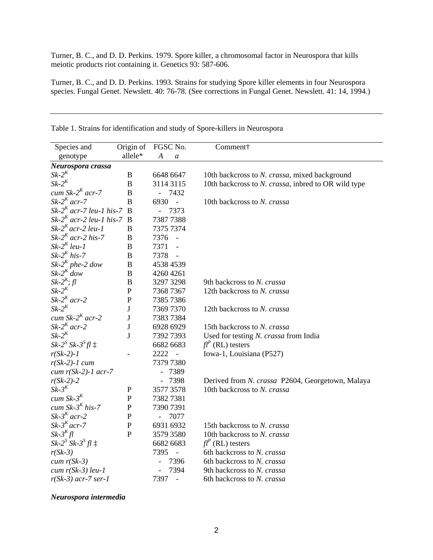Turner, B. C., and D. D. Perkins. 1979. Spore killer, a chromosomal factor in Neurospora that kills meiotic products riot containing it. Genetics 93: 587-606.

Turner, B. C., and D. D. Perkins. 1993. Strains for studying Spore killer elements in four Neurospora species. Fungal Genet. Newslett. 40: 76-78. (See corrections in Fungal Genet. Newslett. 41: 14, 1994.)

| Species and                   | Origin of        | FGSC No.         |                  | Comment†                                            |
|-------------------------------|------------------|------------------|------------------|-----------------------------------------------------|
| genotype                      | allele*          | $\boldsymbol{A}$ | $\boldsymbol{a}$ |                                                     |
| Neurospora crassa             |                  |                  |                  |                                                     |
| $Sk-2^K$                      | B                | 6648 6647        |                  | 10th backcross to N. crassa, mixed background       |
| $Sk-2K$                       | B                | 3114 3115        |                  | 10th backcross to N. crassa, inbred to OR wild type |
| cum Sk- $2^K$ acr-7           | B                | $\overline{a}$   | 7432             |                                                     |
| $Sk-2^K$ acr-7                | B                | 6930             | $\frac{1}{2}$    | 10th backcross to N. crassa                         |
| $Sk-2^K$ acr-7 leu-1 his-7 B  |                  | $\overline{a}$   | 7373             |                                                     |
| $Sk-2^K$ acr-2 leu-1 his-7 B  |                  | 73877388         |                  |                                                     |
| $Sk-2^K$ acr-2 leu-1          | $\boldsymbol{B}$ | 7375 7374        |                  |                                                     |
| Sk-2 <sup>K</sup> acr-2 his-7 | B                | 7376             | $\bar{a}$        |                                                     |
| $Sk-2^K$ leu-1                | B                | 7371             | $\frac{1}{2}$    |                                                     |
| $Sk-2^K$ his-7                | $\bf{B}$         | 7378             |                  |                                                     |
| $Sk-2^K$ phe-2 dow            | B                | 4538 4539        |                  |                                                     |
| $Sk-2^K$ dow                  | B                | 4260 4261        |                  |                                                     |
| $Sk-2^K$ ; fl                 | $\, {\bf B}$     | 3297 3298        |                  | 9th backcross to N. crassa                          |
| $Sk-2^K$                      | $\mathbf P$      | 7368 7367        |                  | 12th backcross to N. crassa                         |
| $Sk-2^K$ acr-2                | $\mathbf{P}$     | 7385 7386        |                  |                                                     |
| $Sk-2^K$                      | ${\bf J}$        | 7369 7370        |                  | 12th backcross to N. crassa                         |
| cum Sk- $2^K$ acr-2           | J                | 73837384         |                  |                                                     |
| $Sk-2^K$ acr-2                | $\bf J$          | 6928 6929        |                  | 15th backcross to N. crassa                         |
| $Sk-2^K$                      | J                | 73927393         |                  | Used for testing N. crassa from India               |
| $Sk-2^S Sk-3^S fl$ $\ddagger$ |                  | 6682 6683        |                  | $fl^P$ (RL) testers                                 |
| $r(Sk-2)-1$                   |                  | 2222             | $\frac{1}{2}$    | Iowa-1, Louisiana (P527)                            |
| $r(Sk-2)-1$ cum               |                  | 7379 7380        |                  |                                                     |
| cum $r(Sk-2)-1$ acr-7         |                  |                  | 7389             |                                                     |
| $r(Sk-2)-2$                   |                  |                  | 7398             | Derived from N. crassa P2604, Georgetown, Malaya    |
| $Sk-3^K$                      | $\mathbf P$      | 3577 3578        |                  | 10th backcross to N. crassa                         |
| cum $Sk-3^K$                  | $\mathbf P$      | 73827381         |                  |                                                     |
| cum Sk- $3^K$ his-7           | $\mathbf{P}$     | 7390 7391        |                  |                                                     |
| $Sk-3^K$ acr-2                | $\mathbf P$      |                  | 7077             |                                                     |
| $Sk-3^K$ acr-7                | $\mathbf{P}$     | 6931 6932        |                  | 15th backcross to N. crassa                         |
| $Sk-3^K fl$                   | $\mathbf{P}$     | 3579 3580        |                  | 10th backcross to N. crassa                         |
| $Sk-2^S Sk-3^S fl \ddagger$   |                  | 6682 6683        |                  | $fl^P$ (RL) testers                                 |
| $r(Sk-3)$                     |                  | 7395             |                  | 6th backcross to N. crassa                          |
| $cum r(Sk-3)$                 |                  |                  | 7396             | 6th backcross to N. crassa                          |
| $cum$ $r(Sk-3)$ leu-1         |                  |                  | 7394             | 9th backcross to N. crassa                          |
| $r(Sk-3)$ acr-7 ser-1         |                  | 7397             | $\overline{a}$   | 6th backcross to N. crassa                          |

| Table 1. Strains for identification and study of Spore-killers in Neurospora |  |
|------------------------------------------------------------------------------|--|
|------------------------------------------------------------------------------|--|

## *Neurospora intermedia*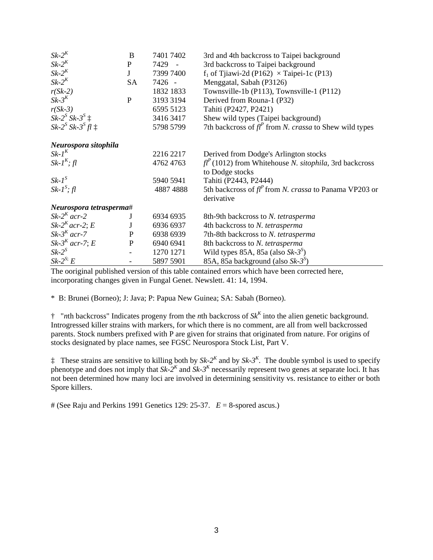| $Sk-2K$                  | B            | 7401 7402 | 3rd and 4th backcross to Taipei background                       |
|--------------------------|--------------|-----------|------------------------------------------------------------------|
| $Sk-2K$                  | $\mathbf{P}$ | 7429      | 3rd backcross to Taipei background                               |
| $Sk-2^K$                 | J            | 7399 7400 | $f_1$ of Tjiawi-2d (P162) $\times$ Taipei-1c (P13)               |
| $Sk-2^K$                 | <b>SA</b>    | 7426 -    | Menggatal, Sabah (P3126)                                         |
| $r(Sk-2)$                |              | 1832 1833 | Townsville-1b (P113), Townsville-1 (P112)                        |
| $Sk-3K$                  | $\mathbf{P}$ | 3193 3194 | Derived from Rouna-1 (P32)                                       |
| $r(Sk-3)$                |              | 6595 5123 | Tahiti (P2427, P2421)                                            |
| $Sk-2^S Sk-3^S \ddagger$ |              | 3416 3417 | Shew wild types (Taipei background)                              |
| $Sk-2S Sk-3S fl$ :       |              | 5798 5799 | 7th backcross of $fl^P$ from <i>N. crassa</i> to Shew wild types |
| Neurospora sitophila     |              |           |                                                                  |
| $Sk-I^K$                 |              | 2216 2217 | Derived from Dodge's Arlington stocks                            |
| $Sk-IK$ ; fl             |              | 4762 4763 | $f l^P$ (1012) from Whitehouse N. sitophila, 3rd backcross       |
|                          |              |           | to Dodge stocks                                                  |
| $Sk-IS$                  |              | 5940 5941 | Tahiti (P2443, P2444)                                            |
| $Sk-IS$ ; fl             |              | 4887 4888 | 5th backcross of $fl^P$ from <i>N. crassa</i> to Panama VP203 or |
|                          |              |           | derivative                                                       |
| Neurospora tetrasperma#  |              |           |                                                                  |
| $Sk-2^K$ acr-2           | J            | 6934 6935 | 8th-9th backcross to N. tetrasperma                              |
| $Sk-2^K$ acr-2; E        | J            | 6936 6937 | 4th backcross to N. tetrasperma                                  |
| $Sk-3^K$ acr-7           | ${\bf P}$    | 6938 6939 | 7th-8th backcross to N. tetrasperma                              |
| $Sk-3^K$ acr-7; E        | ${\bf P}$    | 6940 6941 | 8th backcross to N. tetrasperma                                  |
| $Sk-2^S$                 |              | 1270 1271 | Wild types 85A, 85a (also $Sk-3^s$ )                             |
| $Sk-2^{S}E$              |              | 5897 5901 | 85A, 85a background (also $Sk-3^s$ )                             |

The ooriginal published version of this table contained errors which have been corrected here, incorporating changes given in Fungal Genet. Newslett. 41: 14, 1994.

\* B: Brunei (Borneo); J: Java; P: Papua New Guinea; SA: Sabah (Borneo).

† "*n*th backcross" Indicates progeny from the *n*th backcross of *SkK* into the alien genetic background. Introgressed killer strains with markers, for which there is no comment, are all from well backcrossed parents. Stock numbers prefixed with P are given for strains that originated from nature. For origins of stocks designated by place names, see FGSC Neurospora Stock List, Part V.

 $\ddagger$  These strains are sensitive to killing both by  $Sk-2^K$  and by  $Sk-3^K$ . The double symbol is used to specify phenotype and does not imply that  $Sk-2^K$  and  $Sk-3^K$  necessarily represent two genes at separate loci. It has not been determined how many loci are involved in determining sensitivity vs. resistance to either or both Spore killers.

# (See Raju and Perkins 1991 Genetics 129: 25-37.  $E = 8$ -spored ascus.)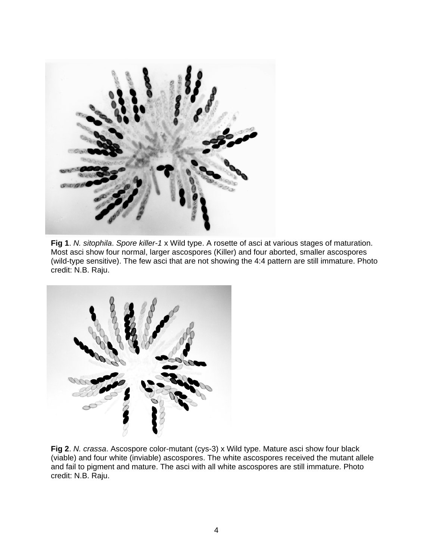

**Fig 1**. *N. sitophila*. *Spore killer-1* x Wild type. A rosette of asci at various stages of maturation. Most asci show four normal, larger ascospores (Killer) and four aborted, smaller ascospores (wild-type sensitive). The few asci that are not showing the 4:4 pattern are still immature. Photo credit: N.B. Raju.



**Fig 2**. *N. crassa*. Ascospore color-mutant (cys-3) x Wild type. Mature asci show four black (viable) and four white (inviable) ascospores. The white ascospores received the mutant allele and fail to pigment and mature. The asci with all white ascospores are still immature. Photo credit: N.B. Raju.